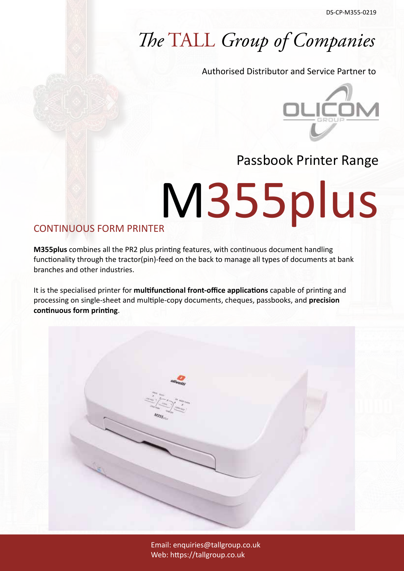### *The* TALL *Group of Companies*

Authorised Distributor and Service Partner to



#### Passbook Printer Range

# M355plus

#### CONTINUOUS FORM PRINTER

**M355plus** combines all the PR2 plus printing features, with continuous document handling functionality through the tractor(pin)-feed on the back to manage all types of documents at bank branches and other industries.

It is the specialised printer for **multifunctional front-office applications** capable of printing and processing on single-sheet and multiple-copy documents, cheques, passbooks, and **precision continuous form printing**.

> Email: enquiries@tallgroup.co.uk Web: https://tallgroup.co.uk